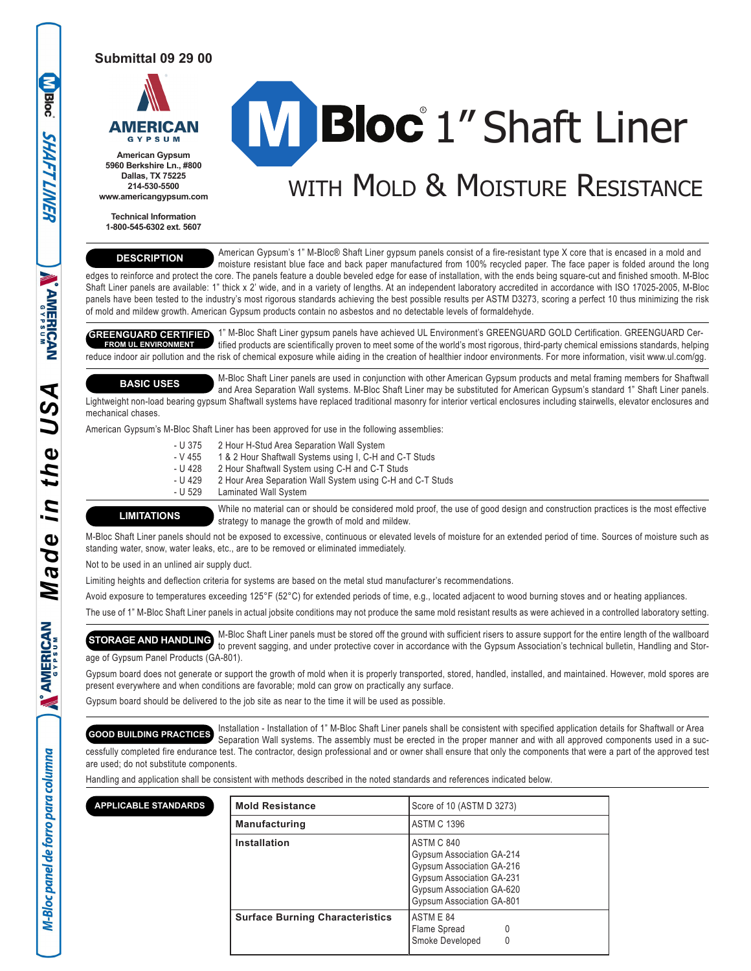**Submittal 09 29 00**



**Bloc** 

**SHAFT LINER** 

**WAMERICAN** 

⋖

the

in

 $\bullet$ Ď  $\boldsymbol{\varpi}$ M

**AMERICAN** 

 $\tilde{\mathbf{v}}$ 

M-Bloc panel de forro para columna

**5960 Berkshire Ln., #800 Dallas, TX 75225 214-530-5500 www.americangypsum.com**

**Technical Information 1-800-545-6302 ext. 5607**

# **Bloc** 1" Shaft Liner

# WITH MOLD & MOISTURE RESISTANCE

## **DESCRIPTION**

 American Gypsum's 1" M-Bloc® Shaft Liner gypsum panels consist of a fire-resistant type X core that is encased in a mold and moisture resistant blue face and back paper manufactured from 100% recycled paper. The face paper is folded around the long edges to reinforce and protect the core. The panels feature a double beveled edge for ease of installation, with the ends being square-cut and finished smooth. M-Bloc Shaft Liner panels are available: 1" thick x 2' wide, and in a variety of lengths. At an independent laboratory accredited in accordance with ISO 17025-2005, M-Bloc

panels have been tested to the industry's most rigorous standards achieving the best possible results per ASTM D3273, scoring a perfect 10 thus minimizing the risk of mold and mildew growth. American Gypsum products contain no asbestos and no detectable levels of formaldehyde.

**GREENGUARD CERTIFIED** 1" M-Bloc Shaft Liner gypsum panels have achieved UL Environment's GREENGUARD GOLD Certification. GREENGUARD Cer tified products are scientifically proven to meet some of the world's most rigorous, third-party chemical emissions standards, helping reduce indoor air pollution and the risk of chemical exposure while aiding in the creation of healthier indoor environments. For more information, visit www.ul.com/gg. **FROM UL ENVIRONMENT**

**BASIC USES**

mechanical chases.

 M-Bloc Shaft Liner panels are used in conjunction with other American Gypsum products and metal framing members for Shaftwall and Area Separation Wall systems. M-Bloc Shaft Liner may be substituted for American Gypsum's standard 1" Shaft Liner panels. Lightweight non-load bearing gypsum Shaftwall systems have replaced traditional masonry for interior vertical enclosures including stairwells, elevator enclosures and

American Gypsum's M-Bloc Shaft Liner has been approved for use in the following assemblies:

- U 375 2 Hour H-Stud Area Separation Wall System<br>- V 455 1 & 2 Hour Shaftwall Systems using I, C-H ar
	- 1 & 2 Hour Shaftwall Systems using I, C-H and C-T Studs
- U 428 2 Hour Shaftwall System using C-H and C-T Studs<br>- U 429 2 Hour Area Separation Wall System using C-H and
- U 429 2 Hour Area Separation Wall System using C-H and C-T Studs<br>- U 529 Laminated Wall System
- Laminated Wall System

**LIMITATIONS**

 While no material can or should be considered mold proof, the use of good design and construction practices is the most effective strategy to manage the growth of mold and mildew.

M-Bloc Shaft Liner panels should not be exposed to excessive, continuous or elevated levels of moisture for an extended period of time. Sources of moisture such as standing water, snow, water leaks, etc., are to be removed or eliminated immediately.

Not to be used in an unlined air supply duct.

Limiting heights and deflection criteria for systems are based on the metal stud manufacturer's recommendations.

Avoid exposure to temperatures exceeding 125°F (52°C) for extended periods of time, e.g., located adjacent to wood burning stoves and or heating appliances.

The use of 1" M-Bloc Shaft Liner panels in actual jobsite conditions may not produce the same mold resistant results as were achieved in a controlled laboratory setting.

 M-Bloc Shaft Liner panels must be stored off the ground with sufficient risers to assure support for the entire length of the wallboard to prevent sagging, and under protective cover in accordance with the Gypsum Association's technical bulletin, Handling and Storage of Gypsum Panel Products (GA-801). **STORAGE AND HANDLING**

Gypsum board does not generate or support the growth of mold when it is properly transported, stored, handled, installed, and maintained. However, mold spores are present everywhere and when conditions are favorable; mold can grow on practically any surface.

Gypsum board should be delivered to the job site as near to the time it will be used as possible.

 Installation - Installation of 1" M-Bloc Shaft Liner panels shall be consistent with specified application details for Shaftwall or Area Separation Wall systems. The assembly must be erected in the proper manner and with all approved components used in a successfully completed fire endurance test. The contractor, design professional and or owner shall ensure that only the components that were a part of the approved test are used; do not substitute components. **GOOD BUILDING PRACTICES**

Handling and application shall be consistent with methods described in the noted standards and references indicated below.

| <b>APPLICABLE STANDARDS</b> | <b>Mold Resistance</b>                 | Score of 10 (ASTM D 3273)                                                                                                                                                 |  |
|-----------------------------|----------------------------------------|---------------------------------------------------------------------------------------------------------------------------------------------------------------------------|--|
|                             | <b>Manufacturing</b>                   | <b>ASTM C 1396</b>                                                                                                                                                        |  |
|                             | <b>Installation</b>                    | ASTM C 840<br>Gypsum Association GA-214<br>Gypsum Association GA-216<br><b>Gypsum Association GA-231</b><br>Gypsum Association GA-620<br><b>Gypsum Association GA-801</b> |  |
|                             | <b>Surface Burning Characteristics</b> | ASTM E 84<br>Flame Spread<br>0<br>Smoke Developed<br>0                                                                                                                    |  |